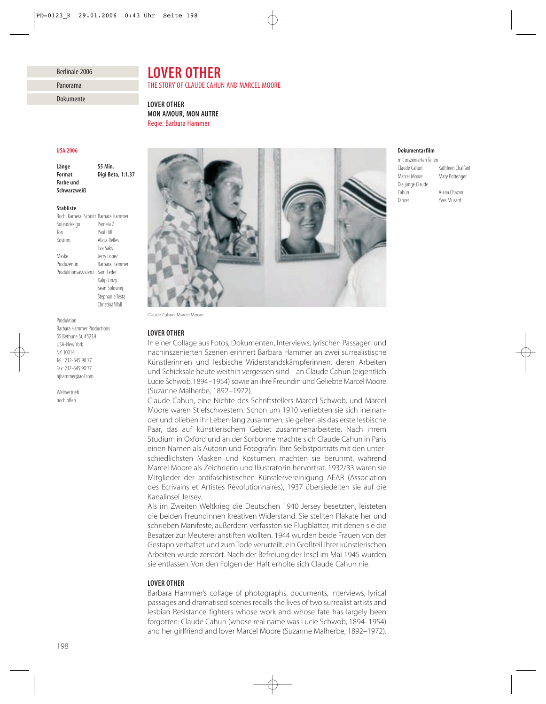## Berlinale 2006

Panorama

| Dokumente |  |  |
|-----------|--|--|
|           |  |  |

# *LOVER OTHER*

## THE STORY OF CLAUDE CAHUN AND MARCEL MOORE

*LOVER OTHER MON AMOUR, MON AUTRE* Regie: Barbara Hammer

### *USA 2006*

*Länge 55 Min. Format Digi Beta, 1:1.37 Farbe und Schwarzweiß*

### *Stabliste*

| Buch, Kamera, Schnitt Barbara Hammer |                 |
|--------------------------------------|-----------------|
| Sounddesign                          | Pamela 7        |
| Ton                                  | Paul Hill       |
| Kostüm                               | Alicia Relles   |
|                                      | Fva Saks        |
| Maske                                | Jerry Lopez     |
| Produzentin                          | Barbara Hammer  |
| Produktionsassistenz                 | Sam Feder       |
|                                      | Kalip Linzy     |
|                                      | Sean Solowiej   |
|                                      | Stephanie Testa |
|                                      | Christina Wall  |

Produktion Barbara Hammer Productions 55 Bethune St. #523H USA-New York NY 10014 Tel.: 212-645 90 77 Fax: 212-645 90 77 bjhammer@aol.com

Weltvertrieb noch offen



Claude Cahun, Marcel Moore

#### *LOVER OTHER*

In einer Collage aus Fotos, Dokumenten, Interviews, lyrischen Passagen und nachinszenierten Szenen erinnert Barbara Hammer an zwei surrealistische Künstlerinnen und lesbische Widerstandskämpferinnen, deren Arbeiten und Schicksale heute weithin vergessen sind – an Claude Cahun (eigentlich Lucie Schwob, 1894–1954) sowie an ihre Freundin und Geliebte Marcel Moore (Suzanne Malherbe, 1892–1972).

Claude Cahun, eine Nichte des Schriftstellers Marcel Schwob, und Marcel Moore waren Stiefschwestern. Schon um 1910 verliebten sie sich ineinander und blieben ihr Leben lang zusammen; sie gelten als das erste lesbische Paar, das auf künstlerischem Gebiet zusammenarbeitete. Nach ihrem Studium in Oxford und an der Sorbonne machte sich Claude Cahun in Paris einen Namen als Autorin und Fotografin. Ihre Selbstporträts mit den unterschiedlichsten Masken und Kostümen machten sie berühmt, während Marcel Moore als Zeichnerin und Illustratorin hervortrat. 1932/33 waren sie Mitglieder der antifaschistischen Künstlervereinigung AEAR (Association des Ecrivains et Artistes Révolutionnaires), 1937 übersiedelten sie auf die Kanalinsel Jersey.

Als im Zweiten Weltkrieg die Deutschen 1940 Jersey besetzten, leisteten die beiden Freundinnen kreativen Widerstand. Sie stellten Plakate her und schrieben Manifeste, außerdem verfassten sie Flugblätter, mit denen sie die Besatzer zur Meuterei anstiften wollten. 1944 wurden beide Frauen von der Gestapo verhaftet und zum Tode verurteilt; ein Großteil ihrer künstlerischen Arbeiten wurde zerstört. Nach der Befreiung der Insel im Mai 1945 wurden sie entlassen. Von den Folgen der Haft erholte sich Claude Cahun nie.

## *LOVER OTHER*

Barbara Hammer's collage of photographs, documents, interviews, lyrical passages and dramatised scenes recalls the lives of two surrealist artists and lesbian Resistance fighters whose work and whose fate has largely been forgotten: Claude Cahun (whose real name was Lucie Schwob, 1894–1954) and her girlfriend and lover Marcel Moore (Suzanne Malherbe, 1892–1972).

## *Dokumentarfilm*

mit inszenierten Teilen<br>Claude Cahun Kathleen Chalfant Marcel Moore Maty Pottenger Die junge Claude Cahun Alana Chazan Yves Musard